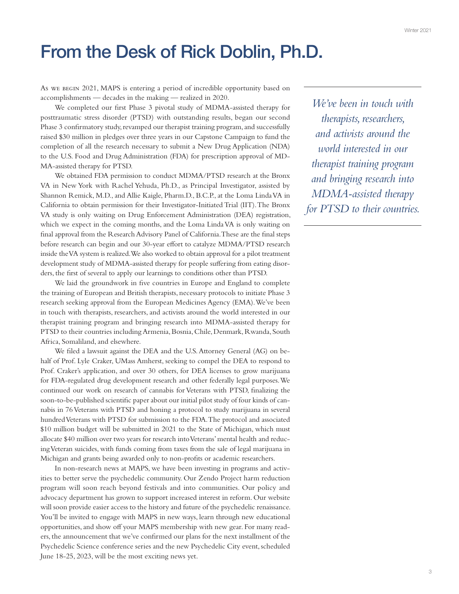## From the Desk of Rick Doblin, Ph.D.

As we begin 2021, MAPS is entering a period of incredible opportunity based on accomplishments — decades in the making — realized in 2020.

We completed our first Phase 3 pivotal study of MDMA-assisted therapy for posttraumatic stress disorder (PTSD) with outstanding results, began our second Phase 3 confirmatory study, revamped our therapist training program, and successfully raised \$30 million in pledges over three years in our Capstone Campaign to fund the completion of all the research necessary to submit a New Drug Application (NDA) to the U.S. Food and Drug Administration (FDA) for prescription approval of MD-MA-assisted therapy for PTSD.

We obtained FDA permission to conduct MDMA/PTSD research at the Bronx VA in New York with Rachel Yehuda, Ph.D., as Principal Investigator, assisted by Shannon Remick, M.D., and Allie Kaigle, Pharm.D., B.C.P., at the Loma Linda VA in California to obtain permission for their Investigator-Initiated Trial (IIT). The Bronx VA study is only waiting on Drug Enforcement Administration (DEA) registration, which we expect in the coming months, and the Loma Linda VA is only waiting on final approval from the Research Advisory Panel of California. These are the final steps before research can begin and our 30-year effort to catalyze MDMA/PTSD research inside the VA system is realized. We also worked to obtain approval for a pilot treatment development study of MDMA-assisted therapy for people suffering from eating disorders, the first of several to apply our learnings to conditions other than PTSD.

We laid the groundwork in five countries in Europe and England to complete the training of European and British therapists, necessary protocols to initiate Phase 3 research seeking approval from the European Medicines Agency (EMA). We've been in touch with therapists, researchers, and activists around the world interested in our therapist training program and bringing research into MDMA-assisted therapy for PTSD to their countries including Armenia, Bosnia, Chile, Denmark, Rwanda, South Africa, Somaliland, and elsewhere.

We filed a lawsuit against the DEA and the U.S. Attorney General (AG) on behalf of Prof. Lyle Craker, UMass Amherst, seeking to compel the DEA to respond to Prof. Craker's application, and over 30 others, for DEA licenses to grow marijuana for FDA-regulated drug development research and other federally legal purposes. We continued our work on research of cannabis for Veterans with PTSD, finalizing the soon-to-be-published scientific paper about our initial pilot study of four kinds of cannabis in 76 Veterans with PTSD and honing a protocol to study marijuana in several hundred Veterans with PTSD for submission to the FDA. The protocol and associated \$10 million budget will be submitted in 2021 to the State of Michigan, which must allocate \$40 million over two years for research into Veterans' mental health and reducing Veteran suicides, with funds coming from taxes from the sale of legal marijuana in Michigan and grants being awarded only to non-profits or academic researchers.

In non-research news at MAPS, we have been investing in programs and activities to better serve the psychedelic community. Our Zendo Project harm reduction program will soon reach beyond festivals and into communities. Our policy and advocacy department has grown to support increased interest in reform. Our website will soon provide easier access to the history and future of the psychedelic renaissance. You'll be invited to engage with MAPS in new ways, learn through new educational opportunities, and show off your MAPS membership with new gear. For many readers, the announcement that we've confirmed our plans for the next installment of the Psychedelic Science conference series and the new Psychedelic City event, scheduled June 18-25, 2023, will be the most exciting news yet.

*We've been in touch with therapists, researchers, and activists around the world interested in our therapist training program and bringing research into MDMA-assisted therapy for PTSD to their countries.*